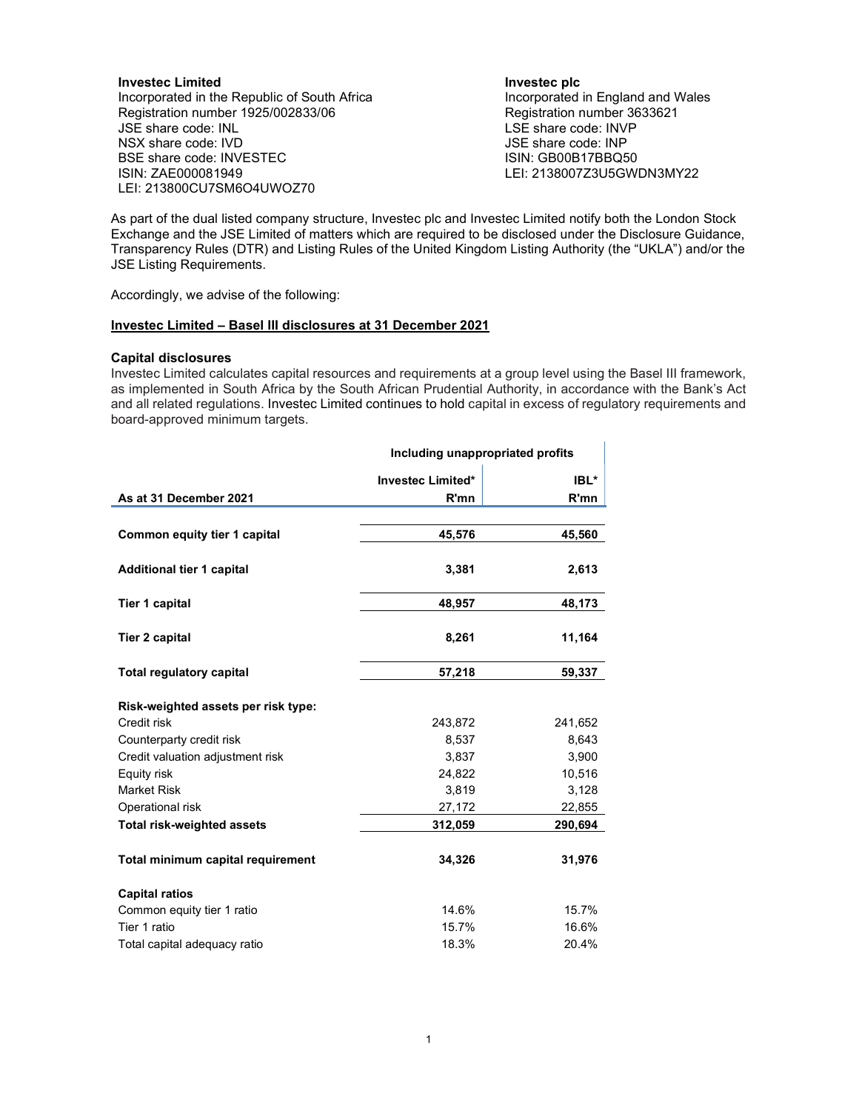Investec Limited Incorporated in the Republic of South Africa Registration number 1925/002833/06 JSE share code: INL NSX share code: IVD BSE share code: INVESTEC ISIN: ZAE000081949 LEI: 213800CU7SM6O4UWOZ70

### Investec plc

Incorporated in England and Wales Registration number 3633621 LSE share code: INVP JSE share code: INP ISIN: GB00B17BBQ50 LEI: 2138007Z3U5GWDN3MY22

 $\pm 1$ 

As part of the dual listed company structure, Investec plc and Investec Limited notify both the London Stock Exchange and the JSE Limited of matters which are required to be disclosed under the Disclosure Guidance, Transparency Rules (DTR) and Listing Rules of the United Kingdom Listing Authority (the "UKLA") and/or the JSE Listing Requirements.

Accordingly, we advise of the following:

# Investec Limited – Basel III disclosures at 31 December 2021

#### Capital disclosures

Investec Limited calculates capital resources and requirements at a group level using the Basel III framework, as implemented in South Africa by the South African Prudential Authority, in accordance with the Bank's Act and all related regulations. Investec Limited continues to hold capital in excess of regulatory requirements and board-approved minimum targets.

|                                     | Including unappropriated profits |         |
|-------------------------------------|----------------------------------|---------|
|                                     | <b>Investec Limited*</b>         | IBL*    |
| As at 31 December 2021              | R'mn                             | R'mn    |
|                                     |                                  |         |
| Common equity tier 1 capital        | 45,576                           | 45,560  |
|                                     |                                  |         |
| <b>Additional tier 1 capital</b>    | 3,381                            | 2,613   |
|                                     |                                  |         |
| Tier 1 capital                      | 48,957                           | 48,173  |
| Tier 2 capital                      | 8,261                            | 11,164  |
|                                     |                                  |         |
| <b>Total regulatory capital</b>     | 57,218                           | 59,337  |
|                                     |                                  |         |
| Risk-weighted assets per risk type: |                                  |         |
| Credit risk                         | 243,872                          | 241,652 |
| Counterparty credit risk            | 8,537                            | 8,643   |
| Credit valuation adjustment risk    | 3,837                            | 3,900   |
| Equity risk                         | 24,822                           | 10,516  |
| <b>Market Risk</b>                  | 3,819                            | 3,128   |
| Operational risk                    | 27,172                           | 22,855  |
| <b>Total risk-weighted assets</b>   | 312,059                          | 290,694 |
|                                     |                                  |         |
| Total minimum capital requirement   | 34,326                           | 31,976  |
| <b>Capital ratios</b>               |                                  |         |
| Common equity tier 1 ratio          | 14.6%                            | 15.7%   |
| Tier 1 ratio                        | 15.7%                            | 16.6%   |
| Total capital adequacy ratio        | 18.3%                            | 20.4%   |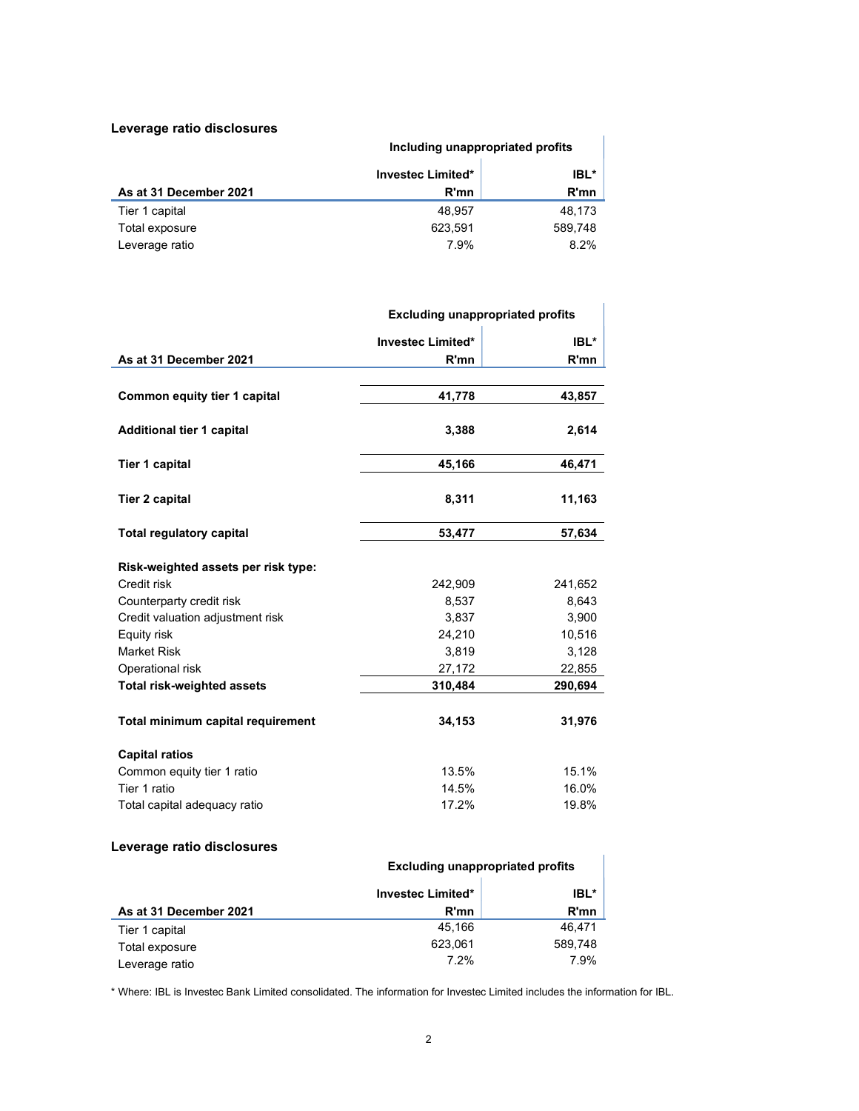## Leverage ratio disclosures

|                        | Including unappropriated profits |         |
|------------------------|----------------------------------|---------|
|                        | <b>Investec Limited*</b>         | IBL*    |
| As at 31 December 2021 | R'mn                             | R'mn    |
| Tier 1 capital         | 48.957                           | 48.173  |
| Total exposure         | 623.591                          | 589,748 |
| Leverage ratio         | 7.9%                             | 8.2%    |

|                                     | <b>Excluding unappropriated profits</b> |         |
|-------------------------------------|-----------------------------------------|---------|
|                                     | Investec Limited*                       | IBL*    |
| As at 31 December 2021              | R'mn                                    | R'mn    |
|                                     |                                         |         |
| Common equity tier 1 capital        | 41,778                                  | 43,857  |
| <b>Additional tier 1 capital</b>    | 3,388                                   | 2,614   |
| <b>Tier 1 capital</b>               | 45,166                                  | 46,471  |
| <b>Tier 2 capital</b>               | 8,311                                   | 11,163  |
| <b>Total regulatory capital</b>     | 53,477                                  | 57,634  |
| Risk-weighted assets per risk type: |                                         |         |
| Credit risk                         | 242,909                                 | 241,652 |
| Counterparty credit risk            | 8,537                                   | 8,643   |
| Credit valuation adjustment risk    | 3,837                                   | 3,900   |
| Equity risk                         | 24,210                                  | 10,516  |
| <b>Market Risk</b>                  | 3,819                                   | 3,128   |
| Operational risk                    | 27,172                                  | 22,855  |
| <b>Total risk-weighted assets</b>   | 310,484                                 | 290,694 |
| Total minimum capital requirement   | 34,153                                  | 31,976  |
| <b>Capital ratios</b>               |                                         |         |
| Common equity tier 1 ratio          | 13.5%                                   | 15.1%   |
| Tier 1 ratio                        | 14.5%                                   | 16.0%   |
| Total capital adequacy ratio        | 17.2%                                   | 19.8%   |
|                                     |                                         |         |

## Leverage ratio disclosures

| Leverage ratio uisclosures |                                         |         |
|----------------------------|-----------------------------------------|---------|
|                            | <b>Excluding unappropriated profits</b> |         |
|                            | <b>Investec Limited*</b>                | IBL*    |
| As at 31 December 2021     | R'mn                                    | R'mn    |
| Tier 1 capital             | 45.166                                  | 46.471  |
| Total exposure             | 623.061                                 | 589.748 |
| Leverage ratio             | 7.2%                                    | 7.9%    |

\* Where: IBL is Investec Bank Limited consolidated. The information for Investec Limited includes the information for IBL.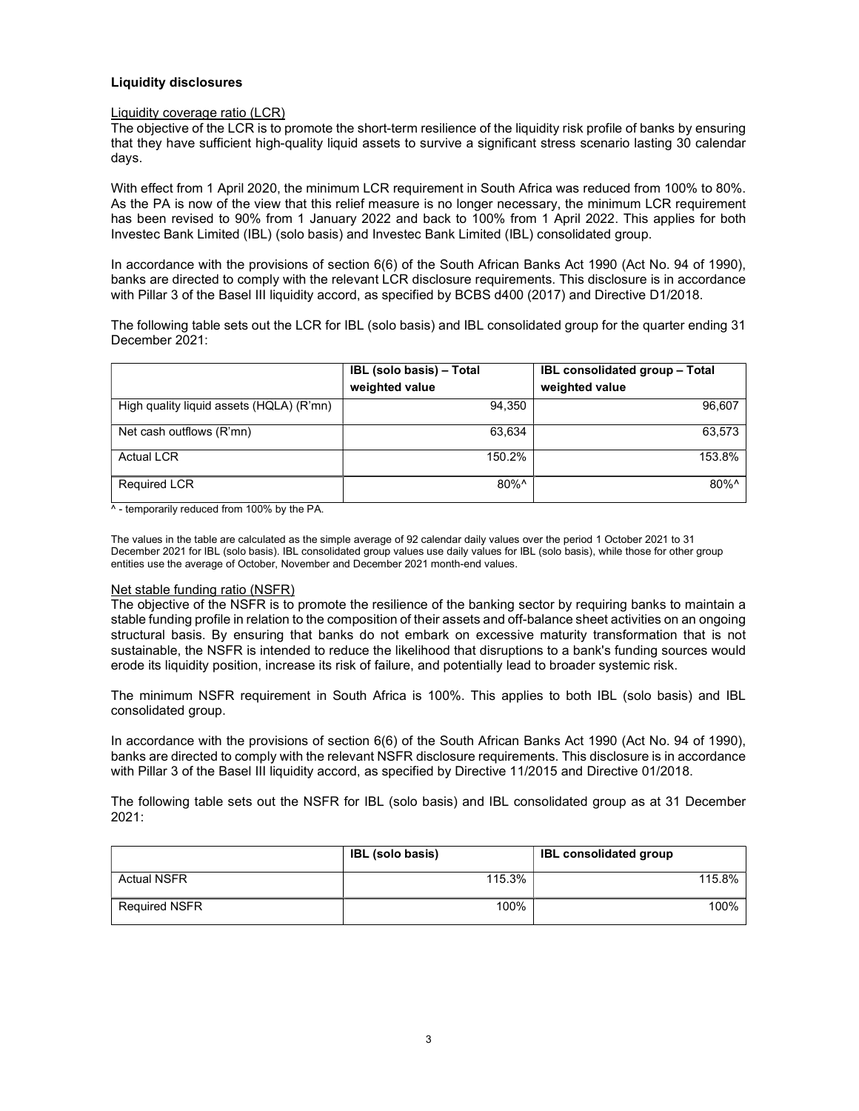### Liquidity disclosures

### Liquidity coverage ratio (LCR)

The objective of the LCR is to promote the short-term resilience of the liquidity risk profile of banks by ensuring that they have sufficient high-quality liquid assets to survive a significant stress scenario lasting 30 calendar days.

With effect from 1 April 2020, the minimum LCR requirement in South Africa was reduced from 100% to 80%. As the PA is now of the view that this relief measure is no longer necessary, the minimum LCR requirement has been revised to 90% from 1 January 2022 and back to 100% from 1 April 2022. This applies for both Investec Bank Limited (IBL) (solo basis) and Investec Bank Limited (IBL) consolidated group.

In accordance with the provisions of section 6(6) of the South African Banks Act 1990 (Act No. 94 of 1990), banks are directed to comply with the relevant LCR disclosure requirements. This disclosure is in accordance with Pillar 3 of the Basel III liquidity accord, as specified by BCBS d400 (2017) and Directive D1/2018.

The following table sets out the LCR for IBL (solo basis) and IBL consolidated group for the quarter ending 31 December 2021:

|                                          | IBL (solo basis) - Total | <b>IBL consolidated group - Total</b> |
|------------------------------------------|--------------------------|---------------------------------------|
|                                          | weighted value           | weighted value                        |
| High quality liquid assets (HQLA) (R'mn) | 94,350                   | 96,607                                |
| Net cash outflows (R'mn)                 | 63.634                   | 63,573                                |
| <b>Actual LCR</b>                        | 150.2%                   | 153.8%                                |
| <b>Required LCR</b>                      | $80\%$ <sup>^</sup>      | 80%^                                  |

^ - temporarily reduced from 100% by the PA.

The values in the table are calculated as the simple average of 92 calendar daily values over the period 1 October 2021 to 31 December 2021 for IBL (solo basis). IBL consolidated group values use daily values for IBL (solo basis), while those for other group entities use the average of October, November and December 2021 month-end values.

#### Net stable funding ratio (NSFR)

The objective of the NSFR is to promote the resilience of the banking sector by requiring banks to maintain a stable funding profile in relation to the composition of their assets and off-balance sheet activities on an ongoing structural basis. By ensuring that banks do not embark on excessive maturity transformation that is not sustainable, the NSFR is intended to reduce the likelihood that disruptions to a bank's funding sources would erode its liquidity position, increase its risk of failure, and potentially lead to broader systemic risk.

The minimum NSFR requirement in South Africa is 100%. This applies to both IBL (solo basis) and IBL consolidated group.

In accordance with the provisions of section 6(6) of the South African Banks Act 1990 (Act No. 94 of 1990), banks are directed to comply with the relevant NSFR disclosure requirements. This disclosure is in accordance with Pillar 3 of the Basel III liquidity accord, as specified by Directive 11/2015 and Directive 01/2018.

The following table sets out the NSFR for IBL (solo basis) and IBL consolidated group as at 31 December 2021:

|                      | <b>IBL</b> (solo basis) | <b>IBL consolidated group</b> |
|----------------------|-------------------------|-------------------------------|
| <b>Actual NSFR</b>   | 115.3%                  | 115.8%                        |
| <b>Required NSFR</b> | 100%                    | 100%                          |